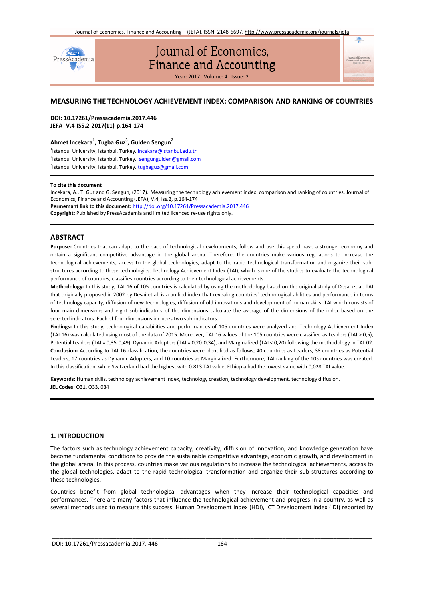$\mathfrak{m}$ 



# *Journal of Economics,* Finance and Accounting

Year: 2017 Volume: 4 Issue: 2

# **MEASURING THE TECHNOLOGY ACHIEVEMENT INDEX: COMPARISON AND RANKING OF COUNTRIES**

**DOI: 10.17261/Pressacademia.2017.446 JEFA- V.4-ISS.2-2017(11)-p.164-174**

# **Ahmet Incekara<sup>1</sup> , Tugba Guz<sup>3</sup> , Gulden Sengun<sup>2</sup>**

<sup>1</sup>Istanbul University, Istanbul, Turkey. **incekara@istanbul.edu.tr** <sup>2</sup>Istanbul University, Istanbul, Turkey. [sengungulden@gmail.com](mailto:sengungulden@gmail.com) <sup>3</sup>Istanbul University, Istanbul, Turkey. tugbaguz@gmail.com

#### **To cite this document**

Incekara, A., T. Guz and G. Sengun, (2017). Measuring the technology achievement index: comparison and ranking of countries. Journal of Economics, Finance and Accounting (JEFA), V.4, Iss.2, p.164-174 **Permemant link to this document:** http://doi.org/10.17261/Pressacademia.2017.446 **Copyright:** Published by PressAcademia and limited licenced re-use rights only.

# **ABSTRACT**

**Purpose-** Countries that can adapt to the pace of technological developments, follow and use this speed have a stronger economy and obtain a significant competitive advantage in the global arena. Therefore, the countries make various regulations to increase the technological achievements, access to the global technologies, adapt to the rapid technological transformation and organize their substructures according to these technologies. Technology Achievement Index (TAI), which is one of the studies to evaluate the technological performance of countries, classifies countries according to their technological achievements.

**Methodology-** In this study, TAI-16 of 105 countries is calculated by using the methodology based on the original study of Desai et al. TAI that originally proposed in 2002 by Desai et al. is a unified index that revealing countries' technological abilities and performance in terms of technology capacity, diffusion of new technologies, diffusion of old innovations and development of human skills. TAI which consists of four main dimensions and eight sub-indicators of the dimensions calculate the average of the dimensions of the index based on the selected indicators. Each of four dimensions includes two sub-indicators.

**Findings-** In this study, technological capabilities and performances of 105 countries were analyzed and Technology Achievement Index (TAI-16) was calculated using most of the data of 2015. Moreover, TAI-16 values of the 105 countries were classified as Leaders (TAI > 0,5), Potential Leaders (TAI = 0,35-0,49), Dynamic Adopters (TAI = 0,20-0,34), and Marginalized (TAI ˂ 0,20) following the methodology in TAI-02. **Conclusion-** According to TAI-16 classification, the countries were identified as follows; 40 countries as Leaders, 38 countries as Potential Leaders, 17 countries as Dynamic Adopters, and 10 countries as Marginalized. Furthermore, TAI ranking of the 105 countries was created. In this classification, while Switzerland had the highest with 0.813 TAI value, Ethiopia had the lowest value with 0,028 TAI value.

**Keywords:** Human skills, technology achievement ındex, technology creation, technology development, technology diffusion. **JEL Codes:** O31, O33, 034

#### **1. INTRODUCTION**

The factors such as technology achievement capacity, creativity, diffusion of innovation, and knowledge generation have become fundamental conditions to provide the sustainable competitive advantage, economic growth, and development in the global arena. In this process, countries make various regulations to increase the technological achievements, access to the global technologies, adapt to the rapid technological transformation and organize their sub-structures according to these technologies.

Countries benefit from global technological advantages when they increase their technological capacities and performances. There are many factors that influence the technological achievement and progress in a country, as well as several methods used to measure this success. Human Development Index (HDI), ICT Development Index (IDI) reported by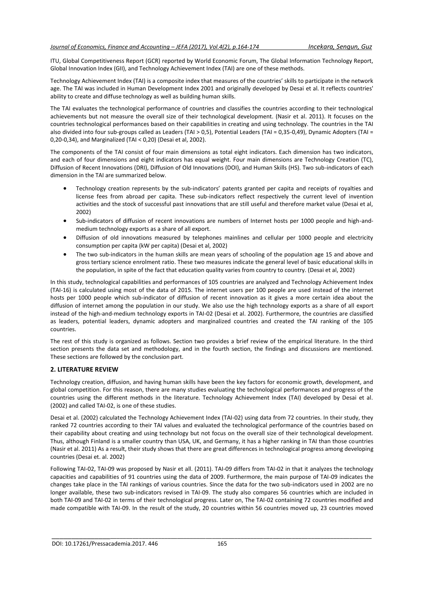ITU, Global Competitiveness Report (GCR) reported by World Economic Forum, The Global Information Technology Report, Global Innovation Index (GII), and Technology Achievement Index (TAI) are one of these methods.

Technology Achievement Index (TAI) is a composite index that measures of the countries' skills to participate in the network age. The TAI was included in Human Development Index 2001 and originally developed by Desai et al. It reflects countries' ability to create and diffuse technology as well as building human skills.

The TAI evaluates the technological performance of countries and classifies the countries according to their technological achievements but not measure the overall size of their technological development. (Nasir et al. 2011). It focuses on the countries technological performances based on their capabilities in creating and using technology. The countries in the TAI also divided into four sub-groups called as Leaders (TAI > 0,5), Potential Leaders (TAI = 0,35-0,49), Dynamic Adopters (TAI = 0,20-0,34), and Marginalized (TAI ˂ 0,20) (Desai et al, 2002).

The components of the TAI consist of four main dimensions as total eight indicators. Each dimension has two indicators, and each of four dimensions and eight indicators has equal weight. Four main dimensions are Technology Creation (TC), Diffusion of Recent Innovations (DRI), Diffusion of Old Innovations (DOI), and Human Skills (HS). Two sub-indicators of each dimension in the TAI are summarized below.

- Technology creation represents by the sub-indicators' patents granted per capita and receipts of royalties and license fees from abroad per capita. These sub-indicators reflect respectively the current level of invention activities and the stock of successful past innovations that are still useful and therefore market value (Desai et al, 2002)
- Sub-indicators of diffusion of recent innovations are numbers of Internet hosts per 1000 people and high-andmedium technology exports as a share of all export.
- Diffusion of old innovations measured by telephones mainlines and cellular per 1000 people and electricity consumption per capita (kW per capita) (Desai et al, 2002)
- The two sub-indicators in the human skills are mean years of schooling of the population age 15 and above and gross tertiary science enrolment ratio. These two measures indicate the general level of basic educational skills in the population, in spite of the fact that education quality varies from country to country. (Desai et al, 2002)

In this study, technological capabilities and performances of 105 countries are analyzed and Technology Achievement Index (TAI-16) is calculated using most of the data of 2015. The internet users per 100 people are used instead of the internet hosts per 1000 people which sub-indicator of diffusion of recent innovation as it gives a more certain idea about the diffusion of internet among the population in our study. We also use the high technology exports as a share of all export instead of the high-and-medium technology exports in TAI-02 (Desai et al. 2002). Furthermore, the countries are classified as leaders, potential leaders, dynamic adopters and marginalized countries and created the TAI ranking of the 105 countries.

The rest of this study is organized as follows. Section two provides a brief review of the empirical literature. In the third section presents the data set and methodology, and in the fourth section, the findings and discussions are mentioned. These sections are followed by the conclusion part.

# **2. LITERATURE REVIEW**

Technology creation, diffusion, and having human skills have been the key factors for economic growth, development, and global competition. For this reason, there are many studies evaluating the technological performances and progress of the countries using the different methods in the literature. Technology Achievement Index (TAI) developed by Desai et al. (2002) and called TAI-02, is one of these studies.

Desai et al. (2002) calculated the Technology Achievement Index (TAI-02) using data from 72 countries. In their study, they ranked 72 countries according to their TAI values and evaluated the technological performance of the countries based on their capability about creating and using technology but not focus on the overall size of their technological development. Thus, although Finland is a smaller country than USA, UK, and Germany, it has a higher ranking in TAI than those countries (Nasir et al. 2011) As a result, their study shows that there are great differences in technological progress among developing countries (Desai et. al. 2002)

Following TAI-02, TAI-09 was proposed by Nasir et all. (2011). TAI-09 differs from TAI-02 in that it analyzes the technology capacities and capabilities of 91 countries using the data of 2009. Furthermore, the main purpose of TAI-09 indicates the changes take place in the TAI rankings of various countries. Since the data for the two sub-indicators used in 2002 are no longer available, these two sub-indicators revised in TAI-09. The study also compares 56 countries which are included in both TAI-09 and TAI-02 in terms of their technological progress. Later on, The TAI-02 containing 72 countries modified and made compatible with TAI-09. In the result of the study, 20 countries within 56 countries moved up, 23 countries moved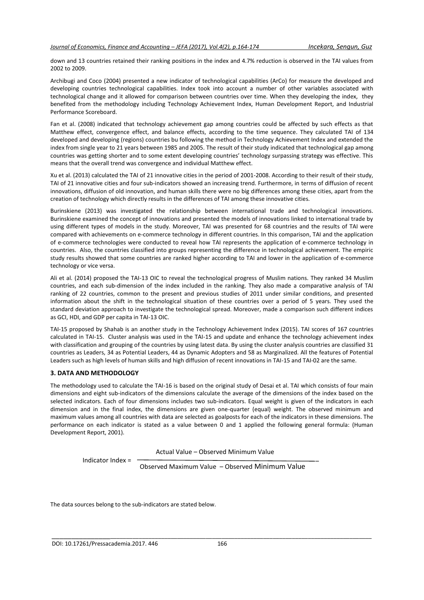down and 13 countries retained their ranking positions in the index and 4.7% reduction is observed in the TAI values from 2002 to 2009.

Archibugi and Coco (2004) presented a new indicator of technological capabilities (ArCo) for measure the developed and developing countries technological capabilities. Index took into account a number of other variables associated with technological change and it allowed for comparison between countries over time. When they developing the index, they benefited from the methodology including Technology Achievement Index, Human Development Report, and Industrial Performance Scoreboard.

Fan et al. (2008) indicated that technology achievement gap among countries could be affected by such effects as that Matthew effect, convergence effect, and balance effects, according to the time sequence. They calculated TAI of 134 developed and developing (regions) countries bu following the method in Technology Achievement Index and extended the index from single year to 21 years between 1985 and 2005. The result of their study indicated that technological gap among countries was getting shorter and to some extent developing countries' technology surpassing strategy was effective. This means that the overall trend was convergence and individual Matthew effect.

Xu et al. (2013) calculated the TAI of 21 innovative cities in the period of 2001-2008. According to their result of their study, TAI of 21 innovative cities and four sub-indicators showed an increasing trend. Furthermore, in terms of diffusion of recent innovations, diffusion of old innovation, and human skills there were no big differences among these cities, apart from the creation of technology which directly results in the differences of TAI among these innovative cities.

Burinskiene (2013) was investigated the relationship between international trade and technological innovations. Burinskiene examined the concept of innovations and presented the models of innovations linked to international trade by using different types of models in the study. Moreover, TAI was presented for 68 countries and the results of TAI were compared with achievements on e-commerce technology in different countries. In this comparison, TAI and the application of e-commerce technologies were conducted to reveal how TAI represents the application of e-commerce technology in countries. Also, the countries classified into groups representing the difference in technological achievement. The empiric study results showed that some countries are ranked higher according to TAI and lower in the application of e-commerce technology or vice versa.

Ali et al. (2014) proposed the TAI-13 OIC to reveal the technological progress of Muslim nations. They ranked 34 Muslim countries, and each sub-dimension of the index included in the ranking. They also made a comparative analysis of TAI ranking of 22 countries, common to the present and previous studies of 2011 under similar conditions, and presented information about the shift in the technological situation of these countries over a period of 5 years. They used the standard deviation approach to investigate the technological spread. Moreover, made a comparison such different indices as GCI, HDI, and GDP per capita in TAI-13 OIC.

TAI-15 proposed by Shahab is an another study in the Technology Achievement Index (2015). TAI scores of 167 countries calculated in TAI-15. Cluster analysis was used in the TAI-15 and update and enhance the technology achievement index with classification and grouping of the countries by using latest data. By using the cluster analysis countries are classified 31 countries as Leaders, 34 as Potential Leaders, 44 as Dynamic Adopters and 58 as Marginalized. All the features of Potential Leaders such as high levels of human skills and high diffusion of recent innovations in TAI-15 and TAI-02 are the same.

# **3. DATA AND METHODOLOGY**

The methodology used to calculate the TAI-16 is based on the original study of Desai et al. TAI which consists of four main dimensions and eight sub-indicators of the dimensions calculate the average of the dimensions of the index based on the selected indicators. Each of four dimensions includes two sub-indicators. Equal weight is given of the indicators in each dimension and in the final index, the dimensions are given one-quarter (equal) weight. The observed minimum and maximum values among all countries with data are selected as goalposts for each of the indicators in these dimensions. The performance on each indicator is stated as a value between 0 and 1 applied the following general formula: (Human Development Report, 2001).

Actual Value – Observed Minimum Value

Indicator Index =

Observed Maximum Value – Observed Minimum Value

The data sources belong to the sub-indicators are stated below.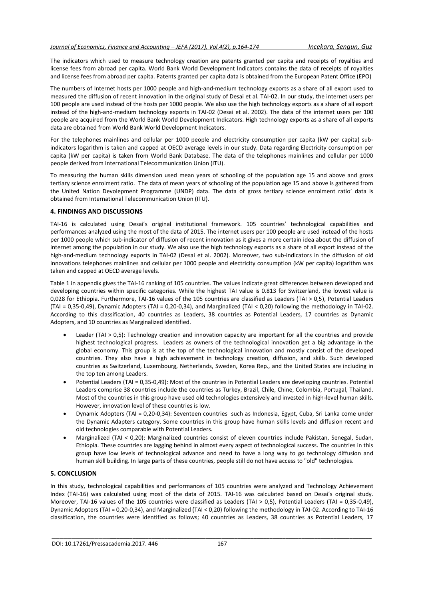The indicators which used to measure technology creation are patents granted per capita and receipts of royalties and license fees from abroad per capita. World Bank World Development Indicators contains the data of receipts of royalties and license fees from abroad per capita. Patents granted per capita data is obtained from the European Patent Office (EPO)

The numbers of Internet hosts per 1000 people and high-and-medium technology exports as a share of all export used to measured the diffusion of recent innovation in the original study of Desai et al. TAI-02. In our study, the internet users per 100 people are used instead of the hosts per 1000 people. We also use the high technology exports as a share of all export instead of the high-and-medium technology exports in TAI-02 (Desai et al. 2002). The data of the internet users per 100 people are acquired from the World Bank World Development Indicators. High technology exports as a share of all exports data are obtained from World Bank World Development Indicators.

For the telephones mainlines and cellular per 1000 people and electricity consumption per capita (kW per capita) subindicators logarithm is taken and capped at OECD average levels in our study. Data regarding Electricity consumption per capita (kW per capita) is taken from World Bank Database. The data of the telephones mainlines and cellular per 1000 people derived from International Telecommunication Union (ITU).

To measuring the human skills dimension used mean years of schooling of the population age 15 and above and gross tertiary science enrolment ratio. The data of mean years of schooling of the population age 15 and above is gathered from the United Nation Devolepment Programme (UNDP) data. The data of gross tertiary science enrolment ratio' data is obtained from International Telecommunication Union (ITU).

# **4. FINDINGS AND DISCUSSIONS**

TAI-16 is calculated using Desai's original institutional framework. 105 countries' technological capabilities and performances analyzed using the most of the data of 2015. The internet users per 100 people are used instead of the hosts per 1000 people which sub-indicator of diffusion of recent innovation as it gives a more certain idea about the diffusion of internet among the population in our study. We also use the high technology exports as a share of all export instead of the high-and-medium technology exports in TAI-02 (Desai et al. 2002). Moreover, two sub-indicators in the diffusion of old innovations telephones mainlines and cellular per 1000 people and electricity consumption (kW per capita) logarithm was taken and capped at OECD average levels.

Table 1 in appendix gives the TAI-16 ranking of 105 countries. The values indicate great differences between developed and developing countries within specific categories. While the highest TAI value is 0.813 for Switzerland, the lowest value is 0,028 for Ethiopia. Furthermore, TAI-16 values of the 105 countries are classified as Leaders (TAI > 0,5), Potential Leaders (TAI = 0,35-0,49), Dynamic Adopters (TAI = 0,20-0,34), and Marginalized (TAI ˂ 0,20) following the methodology in TAI-02. According to this classification, 40 countries as Leaders, 38 countries as Potential Leaders, 17 countries as Dynamic Adopters, and 10 countries as Marginalized identified.

- Leader (TAI > 0,5): Technology creation and innovation capacity are important for all the countries and provide highest technological progress. Leaders as owners of the technological innovation get a big advantage in the global economy. This group is at the top of the technological innovation and mostly consist of the developed countries. They also have a high achievement in technology creation, diffusion, and skills. Such developed countries as Switzerland, Luxembourg, Netherlands, Sweden, Korea Rep., and the United States are including in the top ten among Leaders.
- Potential Leaders (TAI = 0,35-0,49): Most of the countries in Potential Leaders are developing countries. Potential Leaders comprise 38 countries include the countries as Turkey, Brazil, Chile, Chine, Colombia, Portugal, Thailand. Most of the countries in this group have used old technologies extensively and invested in high-level human skills. However, innovation level of these countries is low.
- Dynamic Adopters (TAI = 0,20-0,34): Seventeen countries such as Indonesia, Egypt, Cuba, Sri Lanka come under the Dynamic Adapters category. Some countries in this group have human skills levels and diffusion recent and old technologies comparable with Potential Leaders.
- Marginalized (TAI ˂ 0,20): Marginalized countries consist of eleven countries include Pakistan, Senegal, Sudan, Ethiopia. These countries are lagging behind in almost every aspect of technological success. The countries in this group have low levels of technological advance and need to have a long way to go technology diffusion and human skill building. In large parts of these countries, people still do not have access to "old" technologies.

# **5. CONCLUSION**

In this study, technological capabilities and performances of 105 countries were analyzed and Technology Achievement Index (TAI-16) was calculated using most of the data of 2015. TAI-16 was calculated based on Desai's original study. Moreover, TAI-16 values of the 105 countries were classified as Leaders (TAI > 0,5), Potential Leaders (TAI = 0,35-0,49), Dynamic Adopters (TAI = 0,20-0,34), and Marginalized (TAI ˂ 0,20) following the methodology in TAI-02. According to TAI-16 classification, the countries were identified as follows; 40 countries as Leaders, 38 countries as Potential Leaders, 17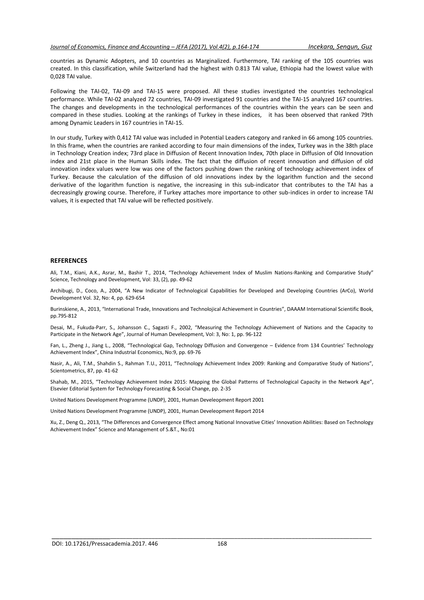countries as Dynamic Adopters, and 10 countries as Marginalized. Furthermore, TAI ranking of the 105 countries was created. In this classification, while Switzerland had the highest with 0.813 TAI value, Ethiopia had the lowest value with 0,028 TAI value.

Following the TAI-02, TAI-09 and TAI-15 were proposed. All these studies investigated the countries technological performance. While TAI-02 analyzed 72 countries, TAI-09 investigated 91 countries and the TAI-15 analyzed 167 countries. The changes and developments in the technological performances of the countries within the years can be seen and compared in these studies. Looking at the rankings of Turkey in these indices, it has been observed that ranked 79th among Dynamic Leaders in 167 countries in TAI-15.

In our study, Turkey with 0,412 TAI value was included in Potential Leaders category and ranked in 66 among 105 countries. In this frame, when the countries are ranked according to four main dimensions of the index, Turkey was in the 38th place in Technology Creation index; 73rd place in Diffusion of Recent Innovation Index, 70th place in Diffusion of Old Innovation index and 21st place in the Human Skills index. The fact that the diffusion of recent innovation and diffusion of old innovation index values were low was one of the factors pushing down the ranking of technology achievement index of Turkey. Because the calculation of the diffusion of old innovations index by the logarithm function and the second derivative of the logarithm function is negative, the increasing in this sub-indicator that contributes to the TAI has a decreasingly growing course. Therefore, if Turkey attaches more importance to other sub-indices in order to increase TAI values, it is expected that TAI value will be reflected positively.

# **REFERENCES**

Ali, T.M., Kiani, A.K., Asrar, M., Bashir T., 2014, "Technology Achievement Index of Muslim Nations-Ranking and Comparative Study" Science, Technology and Development, Vol: 33, (2), pp. 49-62

Archibugi, D., Coco, A., 2004, "A New Indicator of Technological Capabilities for Developed and Developing Countries (ArCo), World Development Vol. 32, No: 4, pp. 629-654

Burinskiene, A., 2013, "International Trade, Innovations and Technolojical Achievement in Countries", DAAAM International Scientific Book, pp.795-812

Desai, M., Fukuda-Parr, S., Johansson C., Sagasti F., 2002, "Measuring the Technology Achievement of Nations and the Capacity to Participate in the Network Age", Journal of Human Develeopment, Vol: 3, No: 1, pp. 96-122

Fan, L., Zheng J., Jiang L., 2008, "Technological Gap, Technology Diffusion and Convergence – Evidence from 134 Countries' Technology Achievement Index", China Industrial Economics, No:9, pp. 69-76

Nasir, A., Ali, T.M., Shahdin S., Rahman T.U., 2011, "Technology Achievement Index 2009: Ranking and Comparative Study of Nations", Scientometrics, 87, pp. 41-62

Shahab, M., 2015, "Technology Achievement Index 2015: Mapping the Global Patterns of Technological Capacity in the Network Age", Elsevier Editorial System for Technology Forecasting & Social Change, pp. 2-35

United Nations Development Programme (UNDP), 2001, Human Develeopment Report 2001

United Nations Development Programme (UNDP), 2001, Human Develeopment Report 2014

Xu, Z., Deng Q., 2013, "The Differences and Convergence Effect among National Innovative Cities' Innovation Abilities: Based on Technology Achievement Index" Science and Management of S.&T., No:01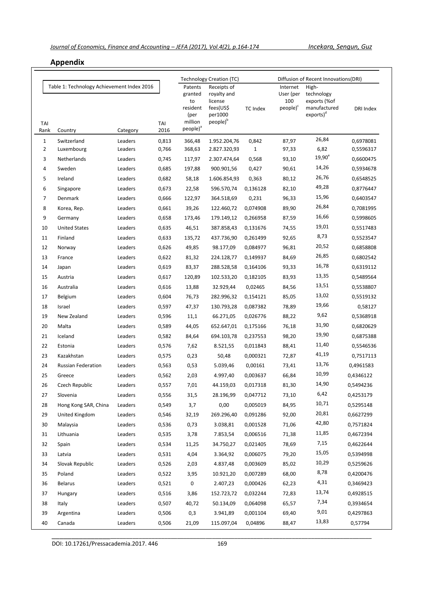# **Appendix**

|                |                                                       |          |             |                                                                                                                                                                          | Technology Creation (TC) |              | Diffusion of Recent Innovations (DRI)                |                                                                              |           |  |
|----------------|-------------------------------------------------------|----------|-------------|--------------------------------------------------------------------------------------------------------------------------------------------------------------------------|--------------------------|--------------|------------------------------------------------------|------------------------------------------------------------------------------|-----------|--|
| TAI<br>Rank    | Table 1: Technology Achievement Index 2016<br>Country | Category | TAI<br>2016 | Patents<br>Receipts of<br>granted<br>royalty and<br>to<br>license<br>fees(US\$<br>resident<br>per1000<br>(per<br>people) <sup>b</sup><br>million<br>people) <sup>a</sup> |                          | TC Index     | Internet<br>User (per<br>100<br>people) <sup>c</sup> | High-<br>technology<br>exports (%of<br>manufactured<br>exports) <sup>d</sup> | DRI Index |  |
| $\mathbf{1}$   | Switzerland                                           | Leaders  | 0,813       | 366,48                                                                                                                                                                   | 1.952.204,76             | 0,842        | 87,97                                                | 26,84                                                                        | 0,6978081 |  |
| $\overline{2}$ | Luxembourg                                            | Leaders  | 0,766       | 368,63                                                                                                                                                                   | 2.827.320,93             | $\mathbf{1}$ | 97,33                                                | 6,82                                                                         | 0,5596317 |  |
| 3              | Netherlands                                           | Leaders  | 0,745       | 117,97                                                                                                                                                                   | 2.307.474,64             | 0,568        | 93,10                                                | $19,90^e$                                                                    | 0,6600475 |  |
| 4              | Sweden                                                | Leaders  | 0,685       | 197,88                                                                                                                                                                   | 900.901,56               | 0,427        | 90,61                                                | 14,26                                                                        | 0,5934678 |  |
| 5              | Ireland                                               | Leaders  | 0,682       | 58,18                                                                                                                                                                    | 1.606.854,93             | 0,363        | 80,12                                                | 26,76                                                                        | 0,6548525 |  |
| 6              | Singapore                                             | Leaders  | 0,673       | 22,58                                                                                                                                                                    | 596.570,74               | 0,136128     | 82,10                                                | 49,28                                                                        | 0,8776447 |  |
| 7              | Denmark                                               | Leaders  | 0,666       | 122,97                                                                                                                                                                   | 364.518,69               | 0,231        | 96,33                                                | 15,96                                                                        | 0,6403547 |  |
| 8              | Korea, Rep.                                           | Leaders  | 0,661       | 39,26                                                                                                                                                                    | 122.460,72               | 0,074908     | 89,90                                                | 26,84                                                                        | 0,7081995 |  |
| 9              | Germany                                               | Leaders  | 0,658       | 173,46                                                                                                                                                                   | 179.149,12               | 0,266958     | 87,59                                                | 16,66                                                                        | 0,5998605 |  |
| 10             | <b>United States</b>                                  | Leaders  | 0,635       | 46,51                                                                                                                                                                    | 387.858,43               | 0,131676     | 74,55                                                | 19,01                                                                        | 0,5517483 |  |
| 11             | Finland                                               | Leaders  | 0,633       | 135,72                                                                                                                                                                   | 437.736,90               | 0,261499     | 92,65                                                | 8,73                                                                         | 0,5523547 |  |
| 12             | Norway                                                | Leaders  | 0,626       | 49,85                                                                                                                                                                    | 98.177,09                | 0,084977     | 96,81                                                | 20,52                                                                        | 0,6858808 |  |
| 13             | France                                                | Leaders  | 0,622       | 81,32                                                                                                                                                                    | 224.128,77               | 0,149937     | 84,69                                                | 26,85                                                                        | 0,6802542 |  |
| 14             | Japan                                                 | Leaders  | 0,619       | 83,37                                                                                                                                                                    | 288.528,58               | 0,164106     | 93,33                                                | 16,78                                                                        | 0,6319112 |  |
| 15             | Austria                                               | Leaders  | 0,617       | 120,89                                                                                                                                                                   | 102.533,20               | 0,182105     | 83,93                                                | 13,35                                                                        | 0,5489564 |  |
| 16             | Australia                                             | Leaders  | 0,616       | 13,88                                                                                                                                                                    | 32.929,44                | 0,02465      | 84,56                                                | 13,51                                                                        | 0,5538807 |  |
| 17             | Belgium                                               | Leaders  | 0,604       | 76,73                                                                                                                                                                    | 282.996,32               | 0,154121     | 85,05                                                | 13,02                                                                        | 0,5519132 |  |
| 18             | Israel                                                | Leaders  | 0,597       | 47,37                                                                                                                                                                    | 130.793,28               | 0,087382     | 78,89                                                | 19,66                                                                        | 0,58127   |  |
| 19             | New Zealand                                           | Leaders  | 0,596       | 11,1                                                                                                                                                                     | 66.271,05                | 0,026776     | 88,22                                                | 9,62                                                                         | 0,5368918 |  |
| 20             | Malta                                                 | Leaders  | 0,589       | 44,05                                                                                                                                                                    | 652.647,01               | 0,175166     | 76,18                                                | 31,90                                                                        | 0,6820629 |  |
| 21             | Iceland                                               | Leaders  | 0,582       | 84,64                                                                                                                                                                    | 694.103,78               | 0,237553     | 98,20                                                | 19,90                                                                        | 0,6875388 |  |
| 22             | Estonia                                               | Leaders  | 0,576       | 7,62                                                                                                                                                                     | 8.521,55                 | 0,011843     | 88,41                                                | 11,40                                                                        | 0,5546536 |  |
| 23             | Kazakhstan                                            | Leaders  | 0,575       | 0,23                                                                                                                                                                     | 50,48                    | 0,000321     | 72,87                                                | 41,19                                                                        | 0,7517113 |  |
| 24             | <b>Russian Federation</b>                             | Leaders  | 0,563       | 0,53                                                                                                                                                                     | 5.039,46                 | 0,00161      | 73,41                                                | 13,76                                                                        | 0,4961583 |  |
| 25             | Greece                                                | Leaders  | 0,562       | 2,03                                                                                                                                                                     | 4.997,40                 | 0,003637     | 66,84                                                | 10,99                                                                        | 0,4346122 |  |
| 26             | Czech Republic                                        | Leaders  | 0,557       | 7,01                                                                                                                                                                     | 44.159,03                | 0,017318     | 81,30                                                | 14,90                                                                        | 0,5494236 |  |
| 27             | Slovenia                                              | Leaders  | 0,556       | 31,5                                                                                                                                                                     | 28.196,99                | 0,047712     | 73,10                                                | 6,42                                                                         | 0,4253179 |  |
| 28             | Hong Kong SAR, China                                  | Leaders  | 0,549       | 3,7                                                                                                                                                                      | 0,00                     | 0,005019     | 84,95                                                | 10,71                                                                        | 0,5295148 |  |
| 29             | United Kingdom                                        | Leaders  | 0,546       | 32,19                                                                                                                                                                    | 269.296,40               | 0,091286     | 92,00                                                | 20,81                                                                        | 0,6627299 |  |
| 30             | Malaysia                                              | Leaders  | 0,536       | 0,73                                                                                                                                                                     | 3.038,81                 | 0,001528     | 71,06                                                | 42,80                                                                        | 0,7571824 |  |
| 31             | Lithuania                                             | Leaders  | 0,535       | 3,78                                                                                                                                                                     | 7.853,54                 | 0,006516     | 71,38                                                | 11,85                                                                        | 0,4672394 |  |
| 32             | Spain                                                 | Leaders  | 0,534       | 11,25                                                                                                                                                                    | 34.750,27                | 0,021405     | 78,69                                                | 7,15                                                                         | 0,4622644 |  |
| 33             | Latvia                                                | Leaders  | 0,531       | 4,04                                                                                                                                                                     | 3.364,92                 | 0,006075     | 79,20                                                | 15,05                                                                        | 0,5394998 |  |
| 34             | Slovak Republic                                       | Leaders  | 0,526       | 2,03                                                                                                                                                                     | 4.837,48                 | 0,003609     | 85,02                                                | 10,29                                                                        | 0,5259626 |  |
| 35             | Poland                                                | Leaders  | 0,522       | 3,95                                                                                                                                                                     | 10.921,20                | 0,007289     | 68,00                                                | 8,78                                                                         | 0,4200476 |  |
| 36             | Belarus                                               | Leaders  | 0,521       | 0                                                                                                                                                                        | 2.407,23                 | 0,000426     | 62,23                                                | 4,31                                                                         | 0,3469423 |  |
| 37             | Hungary                                               | Leaders  | 0,516       | 3,86                                                                                                                                                                     | 152.723,72               | 0,032244     | 72,83                                                | 13,74                                                                        | 0,4928515 |  |
| 38             | Italy                                                 | Leaders  | 0,507       | 40,72                                                                                                                                                                    | 50.134,09                | 0,064098     | 65,57                                                | 7,34                                                                         | 0,3934654 |  |
| 39             | Argentina                                             | Leaders  | 0,506       | 0,3                                                                                                                                                                      | 3.941,89                 | 0,001104     | 69,40                                                | 9,01                                                                         | 0,4297863 |  |
| 40             | Canada                                                | Leaders  | 0,506       | 21,09                                                                                                                                                                    | 115.097,04               | 0,04896      | 88,47                                                | 13,83                                                                        | 0,57794   |  |
|                |                                                       |          |             |                                                                                                                                                                          |                          |              |                                                      |                                                                              |           |  |

DOI: 10.17261/Pressacademia.2017. 446 169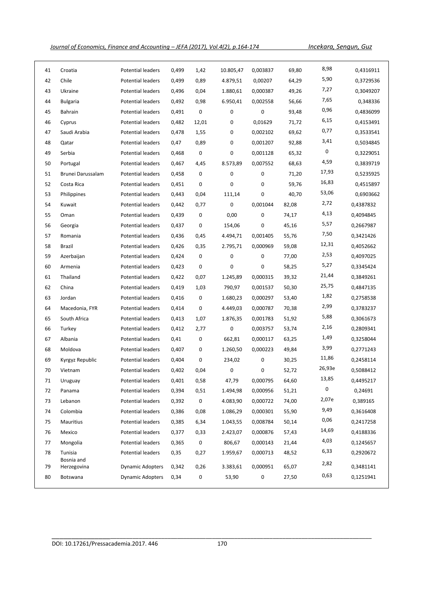*Journal of Economics, Finance and Accounting – JEFA (2017), Vol.4(2), p.164-174 Incekara, Sengun, Guz*

| 41 | Croatia                   | Potential leaders        | 0,499 | 1,42      | 10.805,47 | 0,003837    | 69,80 | 8,98   | 0,4316911 |
|----|---------------------------|--------------------------|-------|-----------|-----------|-------------|-------|--------|-----------|
| 42 | Chile                     | Potential leaders        | 0,499 | 0,89      | 4.879,51  | 0,00207     | 64,29 | 5,90   | 0,3729536 |
| 43 | Ukraine                   | Potential leaders        | 0,496 | 0,04      | 1.880,61  | 0,000387    | 49,26 | 7,27   | 0,3049207 |
| 44 | <b>Bulgaria</b>           | Potential leaders        | 0,492 | 0,98      | 6.950,41  | 0,002558    | 56,66 | 7,65   | 0,348336  |
| 45 | Bahrain                   | Potential leaders        | 0,491 | 0         | 0         | $\mathbf 0$ | 93,48 | 0,96   | 0,4836099 |
| 46 | Cyprus                    | Potential leaders        | 0,482 | 12,01     | 0         | 0,01629     | 71,72 | 6,15   | 0,4153491 |
| 47 | Saudi Arabia              | Potential leaders        | 0,478 | 1,55      | 0         | 0,002102    | 69,62 | 0,77   | 0,3533541 |
| 48 | Qatar                     | Potential leaders        | 0,47  | 0,89      | 0         | 0,001207    | 92,88 | 3,41   | 0,5034845 |
| 49 | Serbia                    | Potential leaders        | 0,468 | 0         | 0         | 0,001128    | 65,32 | 0      | 0,3229051 |
| 50 | Portugal                  | Potential leaders        | 0,467 | 4,45      | 8.573,89  | 0,007552    | 68,63 | 4,59   | 0,3839719 |
| 51 | Brunei Darussalam         | Potential leaders        | 0,458 | 0         | 0         | 0           | 71,20 | 17,93  | 0,5235925 |
| 52 | Costa Rica                | Potential leaders        | 0,451 | 0         | 0         | 0           | 59,76 | 16,83  | 0,4515897 |
| 53 | Philippines               | Potential leaders        | 0,443 | 0,04      | 111,14    | $\pmb{0}$   | 40,70 | 53,06  | 0,6903662 |
| 54 | Kuwait                    | <b>Potential leaders</b> | 0,442 | 0,77      | 0         | 0,001044    | 82,08 | 2,72   | 0,4387832 |
| 55 | Oman                      | Potential leaders        | 0,439 | 0         | 0,00      | 0           | 74,17 | 4,13   | 0,4094845 |
| 56 | Georgia                   | Potential leaders        | 0,437 | 0         | 154,06    | 0           | 45,16 | 5,57   | 0,2667987 |
| 57 | Romania                   | Potential leaders        | 0,436 | 0,45      | 4.494,71  | 0,001405    | 55,76 | 7,50   | 0,3421426 |
| 58 | Brazil                    | Potential leaders        | 0,426 | 0,35      | 2.795,71  | 0,000969    | 59,08 | 12,31  | 0,4052662 |
| 59 | Azerbaijan                | Potential leaders        | 0,424 | 0         | 0         | 0           | 77,00 | 2,53   | 0,4097025 |
| 60 | Armenia                   | Potential leaders        | 0,423 | 0         | 0         | 0           | 58,25 | 5,27   | 0,3345424 |
| 61 | Thailand                  | Potential leaders        | 0,422 | 0,07      | 1.245,89  | 0,000315    | 39,32 | 21,44  | 0,3849261 |
| 62 | China                     | Potential leaders        | 0,419 | 1,03      | 790,97    | 0,001537    | 50,30 | 25,75  | 0,4847135 |
| 63 | Jordan                    | Potential leaders        | 0,416 | 0         | 1.680,23  | 0,000297    | 53,40 | 1,82   | 0,2758538 |
| 64 | Macedonia, FYR            | Potential leaders        | 0,414 | 0         | 4.449,03  | 0,000787    | 70,38 | 2,99   | 0,3783237 |
| 65 | South Africa              | Potential leaders        | 0,413 | 1,07      | 1.876,35  | 0,001783    | 51,92 | 5,88   | 0,3061673 |
| 66 | Turkey                    | Potential leaders        | 0,412 | 2,77      | 0         | 0,003757    | 53,74 | 2,16   | 0,2809341 |
| 67 | Albania                   | Potential leaders        | 0,41  | 0         | 662,81    | 0,000117    | 63,25 | 1,49   | 0,3258044 |
| 68 | Moldova                   | Potential leaders        | 0,407 | 0         | 1.260,50  | 0,000223    | 49,84 | 3,99   | 0,2771243 |
| 69 | Kyrgyz Republic           | Potential leaders        | 0,404 | 0         | 234,02    | 0           | 30,25 | 11,86  | 0,2458114 |
| 70 | Vietnam                   | Potential leaders        | 0,402 | 0,04      | 0         | 0           | 52,72 | 26,93e | 0,5088412 |
| 71 | Uruguay                   | Potential leaders        | 0,401 | 0,58      | 47,79     | 0,000795    | 64,60 | 13,85  | 0,4495217 |
| 72 | Panama                    | Potential leaders        | 0,394 | 0,51      | 1.494,98  | 0,000956    | 51,21 | 0      | 0,24691   |
| 73 | Lebanon                   | Potential leaders        | 0,392 | $\pmb{0}$ | 4.083,90  | 0,000722    | 74,00 | 2,07e  | 0,389165  |
| 74 | Colombia                  | Potential leaders        | 0,386 | 0,08      | 1.086,29  | 0,000301    | 55,90 | 9,49   | 0,3616408 |
| 75 | Mauritius                 | Potential leaders        | 0,385 | 6,34      | 1.043,55  | 0,008784    | 50,14 | 0,06   | 0,2417258 |
| 76 | Mexico                    | Potential leaders        | 0,377 | 0,33      | 2.423,07  | 0,000876    | 57,43 | 14,69  | 0,4188336 |
| 77 | Mongolia                  | Potential leaders        | 0,365 | 0         | 806,67    | 0,000143    | 21,44 | 4,03   | 0,1245657 |
| 78 | Tunisia                   | Potential leaders        | 0,35  | 0,27      | 1.959,67  | 0,000713    | 48,52 | 6,33   | 0,2920672 |
| 79 | Bosnia and<br>Herzegovina | <b>Dynamic Adopters</b>  | 0,342 | 0,26      | 3.383,61  | 0,000951    | 65,07 | 2,82   | 0,3481141 |
| 80 | Botswana                  | <b>Dynamic Adopters</b>  | 0,34  | 0         | 53,90     | 0           | 27,50 | 0,63   | 0,1251941 |
|    |                           |                          |       |           |           |             |       |        |           |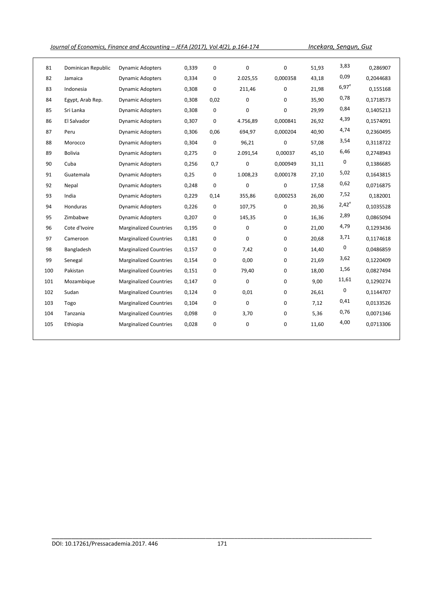*Journal of Economics, Finance and Accounting – JEFA (2017), Vol.4(2), p.164-174 Incekara, Sengun, Guz*

| 81  | Dominican Republic | <b>Dynamic Adopters</b>       | 0,339 | 0           | $\mathbf 0$ | $\mathbf 0$ | 51,93 | 3,83     | 0,286907  |
|-----|--------------------|-------------------------------|-------|-------------|-------------|-------------|-------|----------|-----------|
| 82  | Jamaica            | <b>Dynamic Adopters</b>       | 0,334 | 0           | 2.025,55    | 0,000358    | 43,18 | 0,09     | 0,2044683 |
| 83  | Indonesia          | <b>Dynamic Adopters</b>       | 0,308 | 0           | 211,46      | $\mathbf 0$ | 21,98 | $6,97^e$ | 0,155168  |
| 84  | Egypt, Arab Rep.   | <b>Dynamic Adopters</b>       | 0,308 | 0,02        | $\Omega$    | 0           | 35,90 | 0,78     | 0,1718573 |
| 85  | Sri Lanka          | <b>Dynamic Adopters</b>       | 0,308 | 0           | 0           | $\mathbf 0$ | 29,99 | 0,84     | 0,1405213 |
| 86  | El Salvador        | <b>Dynamic Adopters</b>       | 0,307 | 0           | 4.756,89    | 0,000841    | 26,92 | 4,39     | 0,1574091 |
| 87  | Peru               | <b>Dynamic Adopters</b>       | 0,306 | 0,06        | 694,97      | 0,000204    | 40,90 | 4,74     | 0,2360495 |
| 88  | Morocco            | <b>Dynamic Adopters</b>       | 0,304 | 0           | 96,21       | $\mathbf 0$ | 57,08 | 3,54     | 0,3118722 |
| 89  | <b>Bolivia</b>     | <b>Dynamic Adopters</b>       | 0,275 | 0           | 2.091,54    | 0,00037     | 45,10 | 6,46     | 0,2748943 |
| 90  | Cuba               | <b>Dynamic Adopters</b>       | 0,256 | 0,7         | 0           | 0,000949    | 31,11 | 0        | 0,1386685 |
| 91  | Guatemala          | <b>Dynamic Adopters</b>       | 0,25  | 0           | 1.008,23    | 0,000178    | 27,10 | 5,02     | 0,1643815 |
| 92  | Nepal              | <b>Dynamic Adopters</b>       | 0,248 | 0           | 0           | $\mathbf 0$ | 17,58 | 0,62     | 0,0716875 |
| 93  | India              | <b>Dynamic Adopters</b>       | 0,229 | 0,14        | 355,86      | 0,000253    | 26,00 | 7,52     | 0,182001  |
| 94  | Honduras           | <b>Dynamic Adopters</b>       | 0,226 | $\mathbf 0$ | 107,75      | $\mathbf 0$ | 20,36 | $2,42^e$ | 0,1035528 |
| 95  | Zimbabwe           | <b>Dynamic Adopters</b>       | 0,207 | 0           | 145,35      | $\mathbf 0$ | 16,36 | 2,89     | 0,0865094 |
| 96  | Cote d'Ivoire      | <b>Marginalized Countries</b> | 0,195 | 0           | 0           | 0           | 21,00 | 4,79     | 0,1293436 |
| 97  | Cameroon           | <b>Marginalized Countries</b> | 0,181 | 0           | $\mathbf 0$ | 0           | 20,68 | 3,71     | 0,1174618 |
| 98  | Bangladesh         | <b>Marginalized Countries</b> | 0,157 | 0           | 7,42        | $\mathbf 0$ | 14,40 | 0        | 0,0486859 |
| 99  | Senegal            | <b>Marginalized Countries</b> | 0,154 | 0           | 0,00        | 0           | 21,69 | 3,62     | 0,1220409 |
| 100 | Pakistan           | <b>Marginalized Countries</b> | 0,151 | 0           | 79,40       | $\mathbf 0$ | 18,00 | 1,56     | 0,0827494 |
| 101 | Mozambique         | <b>Marginalized Countries</b> | 0,147 | 0           | $\mathbf 0$ | 0           | 9,00  | 11,61    | 0,1290274 |
| 102 | Sudan              | <b>Marginalized Countries</b> | 0,124 | 0           | 0,01        | $\mathbf 0$ | 26,61 | 0        | 0,1144707 |
| 103 | Togo               | <b>Marginalized Countries</b> | 0,104 | 0           | $\mathbf 0$ | 0           | 7,12  | 0,41     | 0,0133526 |
| 104 | Tanzania           | <b>Marginalized Countries</b> | 0,098 | 0           | 3,70        | 0           | 5,36  | 0,76     | 0,0071346 |
| 105 | Ethiopia           | <b>Marginalized Countries</b> | 0,028 | 0           | 0           | $\mathbf 0$ | 11,60 | 4,00     | 0,0713306 |
|     |                    |                               |       |             |             |             |       |          |           |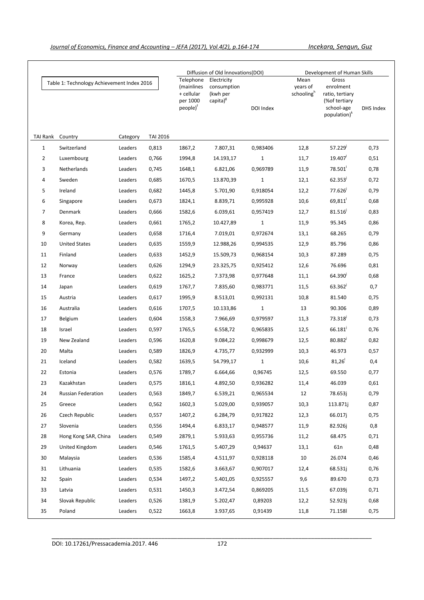|                                            |                      |          |                                                                           | Diffusion of Old Innovations(DOI)                              |           | Development of Human Skills                |                                                                                                    |              |      |
|--------------------------------------------|----------------------|----------|---------------------------------------------------------------------------|----------------------------------------------------------------|-----------|--------------------------------------------|----------------------------------------------------------------------------------------------------|--------------|------|
| Table 1: Technology Achievement Index 2016 |                      |          | Telephone<br>(mainlines<br>+ cellular<br>per 1000<br>people) <sup>†</sup> | Electricity<br>consumption<br>(kwh per<br>capita) <sup>g</sup> | DOI Index | Mean<br>years of<br>schooling <sup>h</sup> | Gross<br>enrolment<br>ratio, tertiary<br>(% of tertiary)<br>school-age<br>population) <sup>k</sup> | DHS Index    |      |
| TAI Rank                                   | Country              | Category | <b>TAI 2016</b>                                                           |                                                                |           |                                            |                                                                                                    |              |      |
| $\mathbf{1}$                               | Switzerland          | Leaders  | 0,813                                                                     | 1867,2                                                         | 7.807,31  | 0,983406                                   | 12,8                                                                                               | 57.229       | 0,73 |
| $\overline{2}$                             | Luxembourg           | Leaders  | 0,766                                                                     | 1994,8                                                         | 14.193,17 | $\mathbf{1}$                               | 11,7                                                                                               | 19.407       | 0,51 |
| 3                                          | Netherlands          | Leaders  | 0,745                                                                     | 1648,1                                                         | 6.821,06  | 0,969789                                   | 11,9                                                                                               | 78.501       | 0,78 |
| 4                                          | Sweden               | Leaders  | 0,685                                                                     | 1670,5                                                         | 13.870,39 | $\mathbf{1}$                               | 12,1                                                                                               | 62.353       | 0,72 |
| 5                                          | Ireland              | Leaders  | 0,682                                                                     | 1445,8                                                         | 5.701,90  | 0,918054                                   | 12,2                                                                                               | 77.626       | 0,79 |
| 6                                          | Singapore            | Leaders  | 0,673                                                                     | 1824,1                                                         | 8.839,71  | 0,995928                                   | 10,6                                                                                               | 69,811       | 0,68 |
| $\overline{7}$                             | Denmark              | Leaders  | 0,666                                                                     | 1582,6                                                         | 6.039,61  | 0,957419                                   | 12,7                                                                                               | 81.516       | 0,83 |
| 8                                          | Korea, Rep.          | Leaders  | 0,661                                                                     | 1765,2                                                         | 10.427,89 | $\mathbf{1}$                               | 11,9                                                                                               | 95.345       | 0,86 |
| 9                                          | Germany              | Leaders  | 0,658                                                                     | 1716,4                                                         | 7.019,01  | 0,972674                                   | 13,1                                                                                               | 68.265       | 0,79 |
| 10                                         | <b>United States</b> | Leaders  | 0,635                                                                     | 1559,9                                                         | 12.988,26 | 0,994535                                   | 12,9                                                                                               | 85.796       | 0,86 |
| 11                                         | Finland              | Leaders  | 0,633                                                                     | 1452,9                                                         | 15.509,73 | 0,968154                                   | 10,3                                                                                               | 87.289       | 0,75 |
| 12                                         | Norway               | Leaders  | 0,626                                                                     | 1294,9                                                         | 23.325,75 | 0,925412                                   | 12,6                                                                                               | 76.696       | 0,81 |
| 13                                         | France               | Leaders  | 0,622                                                                     | 1625,2                                                         | 7.373,98  | 0,977648                                   | 11,1                                                                                               | 64.390       | 0,68 |
| 14                                         | Japan                | Leaders  | 0,619                                                                     | 1767,7                                                         | 7.835,60  | 0,983771                                   | 11,5                                                                                               | $63.362^{j}$ | 0,7  |
| 15                                         | Austria              | Leaders  | 0,617                                                                     | 1995,9                                                         | 8.513,01  | 0,992131                                   | 10,8                                                                                               | 81.540       | 0,75 |
| 16                                         | Australia            | Leaders  | 0,616                                                                     | 1707,5                                                         | 10.133,86 | $\mathbf{1}$                               | 13                                                                                                 | 90.306       | 0,89 |
| 17                                         | Belgium              | Leaders  | 0,604                                                                     | 1558,3                                                         | 7.966,69  | 0,979597                                   | 11,3                                                                                               | 73.318       | 0,73 |
| 18                                         | Israel               | Leaders  | 0,597                                                                     | 1765,5                                                         | 6.558,72  | 0,965835                                   | 12,5                                                                                               | 66.181       | 0,76 |
| 19                                         | New Zealand          | Leaders  | 0,596                                                                     | 1620,8                                                         | 9.084,22  | 0,998679                                   | 12,5                                                                                               | $80.882^{j}$ | 0,82 |
| 20                                         | Malta                | Leaders  | 0,589                                                                     | 1826,9                                                         | 4.735,77  | 0,932999                                   | 10,3                                                                                               | 46.973       | 0,57 |
| 21                                         | Iceland              | Leaders  | 0,582                                                                     | 1639,5                                                         | 54.799,17 | $\mathbf{1}$                               | 10,6                                                                                               | 81,26        | 0,4  |
| 22                                         | Estonia              | Leaders  | 0,576                                                                     | 1789,7                                                         | 6.664,66  | 0,96745                                    | 12,5                                                                                               | 69.550       | 0,77 |
| 23                                         | Kazakhstan           | Leaders  | 0,575                                                                     | 1816,1                                                         | 4.892,50  | 0,936282                                   | 11,4                                                                                               | 46.039       | 0,61 |
| 24                                         | Russian Federation   | Leaders  | 0,563                                                                     | 1849,7                                                         | 6.539,21  | 0,965534                                   | 12                                                                                                 | 78.653j      | 0,79 |
| 25                                         | Greece               | Leaders  | 0,562                                                                     | 1602,3                                                         | 5.029,00  | 0,939057                                   | 10,3                                                                                               | 113.871i     | 0,87 |
| 26                                         | Czech Republic       | Leaders  | 0,557                                                                     | 1407,2                                                         | 6.284,79  | 0,917822                                   | 12,3                                                                                               | 66.017j      | 0,75 |
| 27                                         | Slovenia             | Leaders  | 0,556                                                                     | 1494,4                                                         | 6.833,17  | 0,948577                                   | 11,9                                                                                               | 82.926j      | 0,8  |
| 28                                         | Hong Kong SAR, China | Leaders  | 0,549                                                                     | 2879,1                                                         | 5.933,63  | 0,955736                                   | 11,2                                                                                               | 68.475       | 0,71 |
| 29                                         | United Kingdom       | Leaders  | 0,546                                                                     | 1761,5                                                         | 5.407,29  | 0,94637                                    | 13,1                                                                                               | 61n          | 0,48 |
| 30                                         | Malaysia             | Leaders  | 0,536                                                                     | 1585,4                                                         | 4.511,97  | 0,928118                                   | 10                                                                                                 | 26.074       | 0,46 |
| 31                                         | Lithuania            | Leaders  | 0,535                                                                     | 1582,6                                                         | 3.663,67  | 0,907017                                   | 12,4                                                                                               | 68.531j      | 0,76 |
| 32                                         | Spain                | Leaders  | 0,534                                                                     | 1497,2                                                         | 5.401,05  | 0,925557                                   | 9,6                                                                                                | 89.670       | 0,73 |
| 33                                         | Latvia               | Leaders  | 0,531                                                                     | 1450,3                                                         | 3.472,54  | 0,869205                                   | 11,5                                                                                               | 67.039j      | 0,71 |
| 34                                         | Slovak Republic      | Leaders  | 0,526                                                                     | 1381,9                                                         | 5.202,47  | 0,89203                                    | 12,2                                                                                               | 52.923j      | 0,68 |
| 35                                         | Poland               | Leaders  | 0,522                                                                     | 1663,8                                                         | 3.937,65  | 0,91439                                    | 11,8                                                                                               | 71.158       | 0,75 |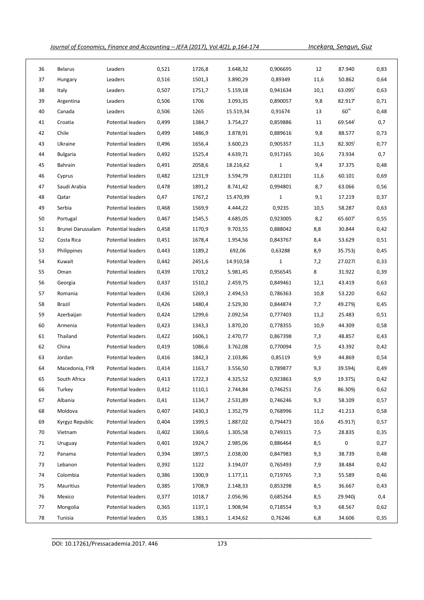| 36 | <b>Belarus</b>    | Leaders                  | 0,521 | 1726,8 | 3.648,32  | 0,906695     | 12   | 87.940           | 0,83 |
|----|-------------------|--------------------------|-------|--------|-----------|--------------|------|------------------|------|
| 37 | Hungary           | Leaders                  | 0,516 | 1501,3 | 3.890,29  | 0,89349      | 11,6 | 50.862           | 0,64 |
| 38 | Italy             | Leaders                  | 0,507 | 1751,7 | 5.159,18  | 0,941634     | 10,1 | 63.095           | 0,63 |
| 39 | Argentina         | Leaders                  | 0,506 | 1706   | 3.093,35  | 0,890057     | 9,8  | 82.917           | 0,71 |
| 40 | Canada            | Leaders                  | 0,506 | 1265   | 15.519,34 | 0,91674      | 13   | $60^{\rm m}$     | 0,48 |
| 41 | Croatia           | Potential leaders        | 0,499 | 1384,7 | 3.754,27  | 0,859886     | 11   | $69.544^{j}$     | 0,7  |
| 42 | Chile             | Potential leaders        | 0,499 | 1486,9 | 3.878,91  | 0,889616     | 9,8  | 88.577           | 0,73 |
| 43 | Ukraine           | Potential leaders        | 0,496 | 1656,4 | 3.600,23  | 0,905357     | 11,3 | $82.305^{\circ}$ | 0,77 |
| 44 | <b>Bulgaria</b>   | Potential leaders        | 0,492 | 1525,4 | 4.639,71  | 0,917165     | 10,6 | 73.934           | 0,7  |
| 45 | Bahrain           | Potential leaders        | 0,491 | 2058,6 | 18.216,62 | $\mathbf{1}$ | 9,4  | 37.375           | 0,48 |
| 46 | Cyprus            | Potential leaders        | 0,482 | 1231,9 | 3.594,79  | 0,812101     | 11,6 | 60.101           | 0,69 |
| 47 | Saudi Arabia      | Potential leaders        | 0,478 | 1891,2 | 8.741,42  | 0,994801     | 8,7  | 63.066           | 0,56 |
| 48 | Qatar             | Potential leaders        | 0,47  | 1767,2 | 15.470,99 | $\mathbf{1}$ | 9,1  | 17.219           | 0,37 |
| 49 | Serbia            | Potential leaders        | 0,468 | 1569,9 | 4.444,22  | 0,9235       | 10,5 | 58.287           | 0,63 |
| 50 | Portugal          | Potential leaders        | 0,467 | 1545,5 | 4.685,05  | 0,923005     | 8,2  | 65.607           | 0,55 |
| 51 | Brunei Darussalam | Potential leaders        | 0,458 | 1170,9 | 9.703,55  | 0,888042     | 8,8  | 30.844           | 0,42 |
| 52 | Costa Rica        | Potential leaders        | 0,451 | 1678,4 | 1.954,56  | 0,843767     | 8,4  | 53.629           | 0,51 |
| 53 | Philippines       | Potential leaders        | 0,443 | 1189,2 | 692,06    | 0,63288      | 8,9  | 35.753j          | 0,45 |
| 54 | Kuwait            | Potential leaders        | 0,442 | 2451,6 | 14.910,58 | $\mathbf{1}$ | 7,2  | 27.0271          | 0,33 |
| 55 | Oman              | Potential leaders        | 0,439 | 1703,2 | 5.981,45  | 0,956545     | 8    | 31.922           | 0,39 |
| 56 | Georgia           | Potential leaders        | 0,437 | 1510,2 | 2.459,75  | 0,849461     | 12,1 | 43.419           | 0,63 |
| 57 | Romania           | Potential leaders        | 0,436 | 1269,3 | 2.494,53  | 0,786363     | 10,8 | 53.220           | 0,62 |
| 58 | Brazil            | Potential leaders        | 0,426 | 1480,4 | 2.529,30  | 0,844874     | 7,7  | 49.279j          | 0,45 |
| 59 | Azerbaijan        | Potential leaders        | 0,424 | 1299,6 | 2.092,54  | 0,777403     | 11,2 | 25.483           | 0,51 |
| 60 | Armenia           | Potential leaders        | 0,423 | 1343,3 | 1.870,20  | 0,778355     | 10,9 | 44.309           | 0,58 |
| 61 | Thailand          | Potential leaders        | 0,422 | 1606,1 | 2.470,77  | 0,867398     | 7,3  | 48.857           | 0,43 |
| 62 | China             | Potential leaders        | 0,419 | 1086,6 | 3.762,08  | 0,770094     | 7,5  | 43.392           | 0,42 |
| 63 | Jordan            | Potential leaders        | 0,416 | 1842,3 | 2.103,86  | 0,85119      | 9,9  | 44.869           | 0,54 |
| 64 | Macedonia, FYR    | Potential leaders        | 0,414 | 1163,7 | 3.556,50  | 0,789877     | 9,3  | 39.594j          | 0,49 |
| 65 | South Africa      | Potential leaders        | 0,413 | 1722,3 | 4.325,52  | 0,923863     | 9,9  | 19.375j          | 0,42 |
| 66 | Turkey            | Potential leaders        | 0,412 | 1110,1 | 2.744,84  | 0,746251     | 7,6  | 86.309j          | 0,62 |
| 67 | Albania           | <b>Potential leaders</b> | 0,41  | 1134,7 | 2.531,89  | 0,746246     | 9,3  | 58.109           | 0,57 |
| 68 | Moldova           | Potential leaders        | 0,407 | 1430,3 | 1.352,79  | 0,768996     | 11,2 | 41.213           | 0,58 |
| 69 | Kyrgyz Republic   | Potential leaders        | 0,404 | 1399,5 | 1.887,02  | 0,794473     | 10,6 | 45.917j          | 0,57 |
| 70 | Vietnam           | Potential leaders        | 0,402 | 1369,6 | 1.305,58  | 0,749315     | 7,5  | 28.835           | 0,35 |
| 71 | Uruguay           | Potential leaders        | 0,401 | 1924,7 | 2.985,06  | 0,886464     | 8,5  | 0                | 0,27 |
| 72 | Panama            | Potential leaders        | 0,394 | 1897,5 | 2.038,00  | 0,847983     | 9,3  | 38.739           | 0,48 |
| 73 | Lebanon           | Potential leaders        | 0,392 | 1122   | 3.194,07  | 0,765493     | 7,9  | 38.484           | 0,42 |
| 74 | Colombia          | Potential leaders        | 0,386 | 1300,9 | 1.177,11  | 0,719765     | 7,3  | 55.589           | 0,46 |
| 75 | Mauritius         | Potential leaders        | 0,385 | 1708,9 | 2.148,33  | 0,853298     | 8,5  | 36.667           | 0,43 |
| 76 | Mexico            | Potential leaders        | 0,377 | 1018,7 | 2.056,96  | 0,685264     | 8,5  | 29.940j          | 0,4  |
| 77 | Mongolia          | Potential leaders        | 0,365 | 1137,1 | 1.908,94  | 0,718554     | 9,3  | 68.567           | 0,62 |
| 78 | Tunisia           | Potential leaders        | 0,35  | 1383,1 | 1.434,62  | 0,76246      | 6,8  | 34.606           | 0,35 |

DOI: 10.17261/Pressacademia.2017. 446 173